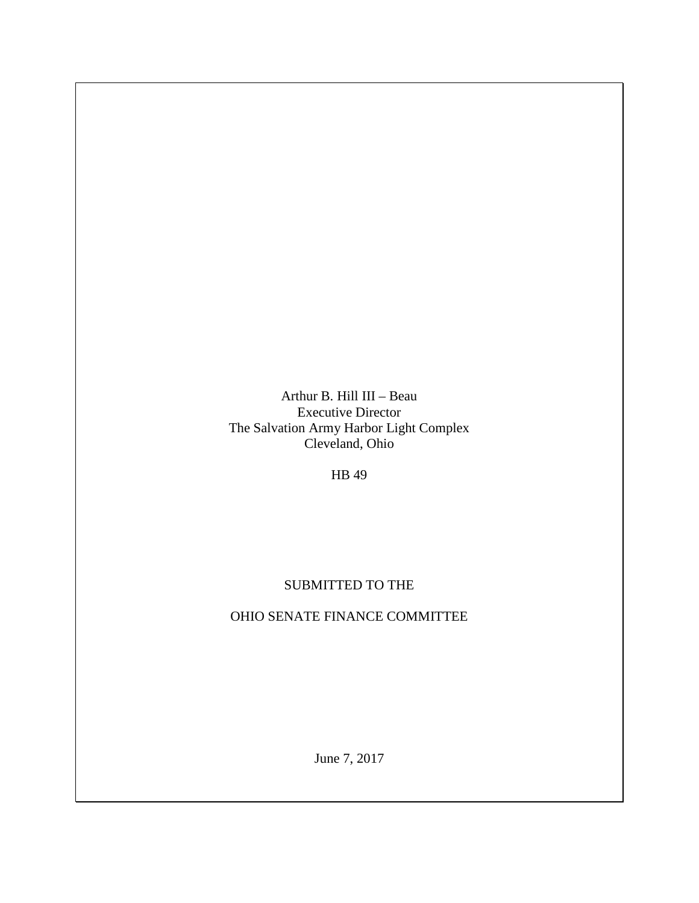Arthur B. Hill III – Beau Executive Director The Salvation Army Harbor Light Complex Cleveland, Ohio

HB 49

## SUBMITTED TO THE

## OHIO SENATE FINANCE COMMITTEE

June 7, 2017